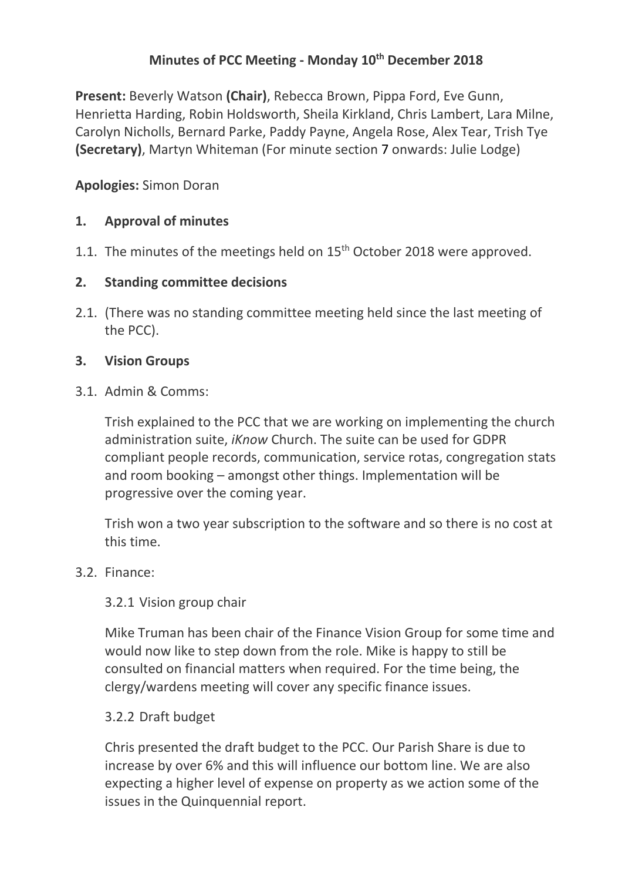# **Minutes of PCC Meeting - Monday 10th December 2018**

**Present:** Beverly Watson **(Chair)**, Rebecca Brown, Pippa Ford, Eve Gunn, Henrietta Harding, Robin Holdsworth, Sheila Kirkland, Chris Lambert, Lara Milne, Carolyn Nicholls, Bernard Parke, Paddy Payne, Angela Rose, Alex Tear, Trish Tye **(Secretary)**, Martyn Whiteman (For minute section 7 onwards: Julie Lodge)

## **Apologies:** Simon Doran

## **1. Approval of minutes**

1.1. The minutes of the meetings held on  $15<sup>th</sup>$  October 2018 were approved.

#### **2. Standing committee decisions**

2.1. (There was no standing committee meeting held since the last meeting of the PCC).

#### **3. Vision Groups**

3.1. Admin & Comms:

Trish explained to the PCC that we are working on implementing the church administration suite, *iKnow* Church. The suite can be used for GDPR compliant people records, communication, service rotas, congregation stats and room booking – amongst other things. Implementation will be progressive over the coming year.

Trish won a two year subscription to the software and so there is no cost at this time.

#### 3.2. Finance:

#### 3.2.1 Vision group chair

Mike Truman has been chair of the Finance Vision Group for some time and would now like to step down from the role. Mike is happy to still be consulted on financial matters when required. For the time being, the clergy/wardens meeting will cover any specific finance issues.

#### 3.2.2 Draft budget

Chris presented the draft budget to the PCC. Our Parish Share is due to increase by over 6% and this will influence our bottom line. We are also expecting a higher level of expense on property as we action some of the issues in the Quinquennial report.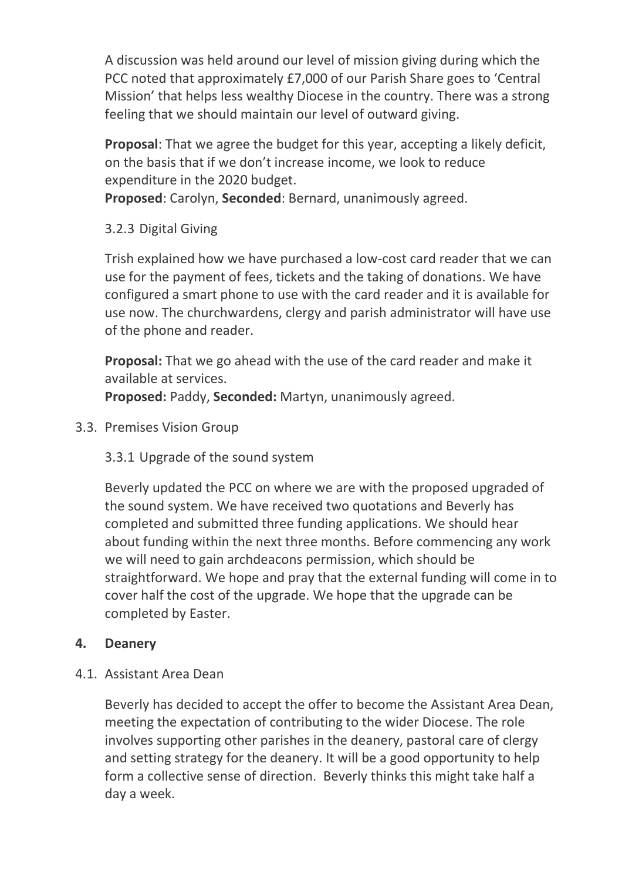A discussion was held around our level of mission giving during which the PCC noted that approximately £7,000 of our Parish Share goes to 'Central Mission' that helps less wealthy Diocese in the country. There was a strong feeling that we should maintain our level of outward giving.

**Proposal**: That we agree the budget for this year, accepting a likely deficit, on the basis that if we don't increase income, we look to reduce expenditure in the 2020 budget.

**Proposed**: Carolyn, **Seconded**: Bernard, unanimously agreed.

3.2.3 Digital Giving

Trish explained how we have purchased a low-cost card reader that we can use for the payment of fees, tickets and the taking of donations. We have configured a smart phone to use with the card reader and it is available for use now. The churchwardens, clergy and parish administrator will have use of the phone and reader.

**Proposal:** That we go ahead with the use of the card reader and make it available at services.

**Proposed:** Paddy, **Seconded:** Martyn, unanimously agreed.

3.3. Premises Vision Group

3.3.1 Upgrade of the sound system

Beverly updated the PCC on where we are with the proposed upgraded of the sound system. We have received two quotations and Beverly has completed and submitted three funding applications. We should hear about funding within the next three months. Before commencing any work we will need to gain archdeacons permission, which should be straightforward. We hope and pray that the external funding will come in to cover half the cost of the upgrade. We hope that the upgrade can be completed by Easter.

# **4. Deanery**

#### 4.1. Assistant Area Dean

Beverly has decided to accept the offer to become the Assistant Area Dean, meeting the expectation of contributing to the wider Diocese. The role involves supporting other parishes in the deanery, pastoral care of clergy and setting strategy for the deanery. It will be a good opportunity to help form a collective sense of direction. Beverly thinks this might take half a day a week.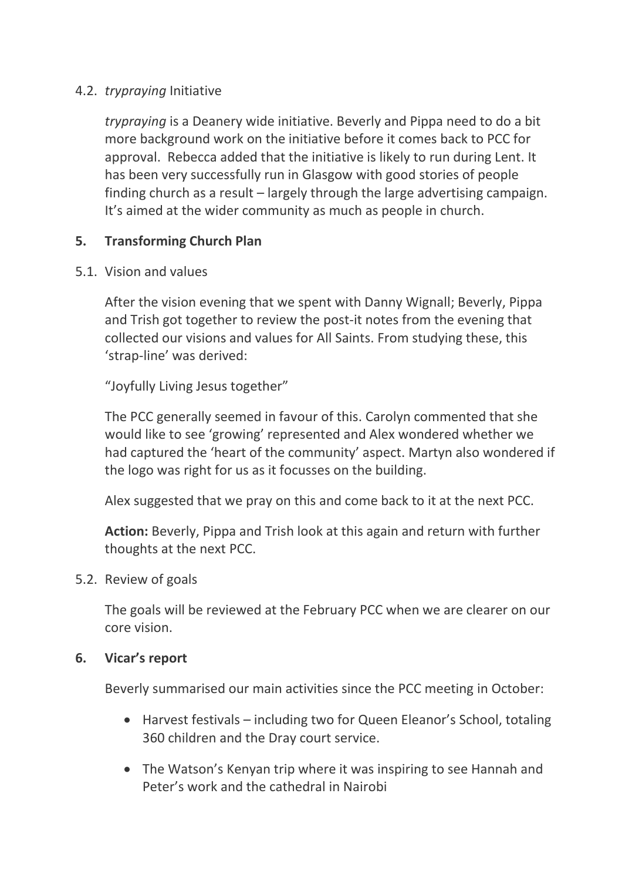## 4.2. *trypraying* Initiative

*trypraying* is a Deanery wide initiative. Beverly and Pippa need to do a bit more background work on the initiative before it comes back to PCC for approval. Rebecca added that the initiative is likely to run during Lent. It has been very successfully run in Glasgow with good stories of people finding church as a result – largely through the large advertising campaign. It's aimed at the wider community as much as people in church.

## **5. Transforming Church Plan**

#### 5.1. Vision and values

After the vision evening that we spent with Danny Wignall; Beverly, Pippa and Trish got together to review the post-it notes from the evening that collected our visions and values for All Saints. From studying these, this 'strap-line' was derived:

"Joyfully Living Jesus together"

The PCC generally seemed in favour of this. Carolyn commented that she would like to see 'growing' represented and Alex wondered whether we had captured the 'heart of the community' aspect. Martyn also wondered if the logo was right for us as it focusses on the building.

Alex suggested that we pray on this and come back to it at the next PCC.

**Action:** Beverly, Pippa and Trish look at this again and return with further thoughts at the next PCC.

#### 5.2. Review of goals

The goals will be reviewed at the February PCC when we are clearer on our core vision.

#### **6. Vicar's report**

Beverly summarised our main activities since the PCC meeting in October:

- Harvest festivals including two for Queen Eleanor's School, totaling 360 children and the Dray court service.
- The Watson's Kenyan trip where it was inspiring to see Hannah and Peter's work and the cathedral in Nairobi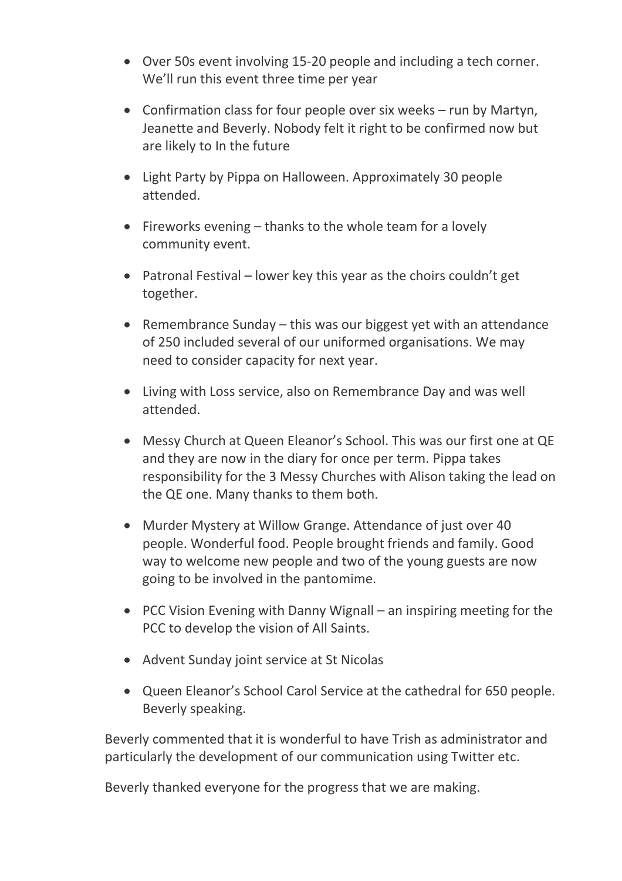- Over 50s event involving 15-20 people and including a tech corner. We'll run this event three time per year
- Confirmation class for four people over six weeks run by Martyn, Jeanette and Beverly. Nobody felt it right to be confirmed now but are likely to In the future
- Light Party by Pippa on Halloween. Approximately 30 people attended.
- Fireworks evening thanks to the whole team for a lovely community event.
- Patronal Festival lower key this year as the choirs couldn't get together.
- Remembrance Sunday this was our biggest yet with an attendance of 250 included several of our uniformed organisations. We may need to consider capacity for next year.
- Living with Loss service, also on Remembrance Day and was well attended.
- Messy Church at Queen Eleanor's School. This was our first one at QE and they are now in the diary for once per term. Pippa takes responsibility for the 3 Messy Churches with Alison taking the lead on the QE one. Many thanks to them both.
- Murder Mystery at Willow Grange. Attendance of just over 40 people. Wonderful food. People brought friends and family. Good way to welcome new people and two of the young guests are now going to be involved in the pantomime.
- PCC Vision Evening with Danny Wignall an inspiring meeting for the PCC to develop the vision of All Saints.
- Advent Sunday joint service at St Nicolas
- Queen Eleanor's School Carol Service at the cathedral for 650 people. Beverly speaking.

Beverly commented that it is wonderful to have Trish as administrator and particularly the development of our communication using Twitter etc.

Beverly thanked everyone for the progress that we are making.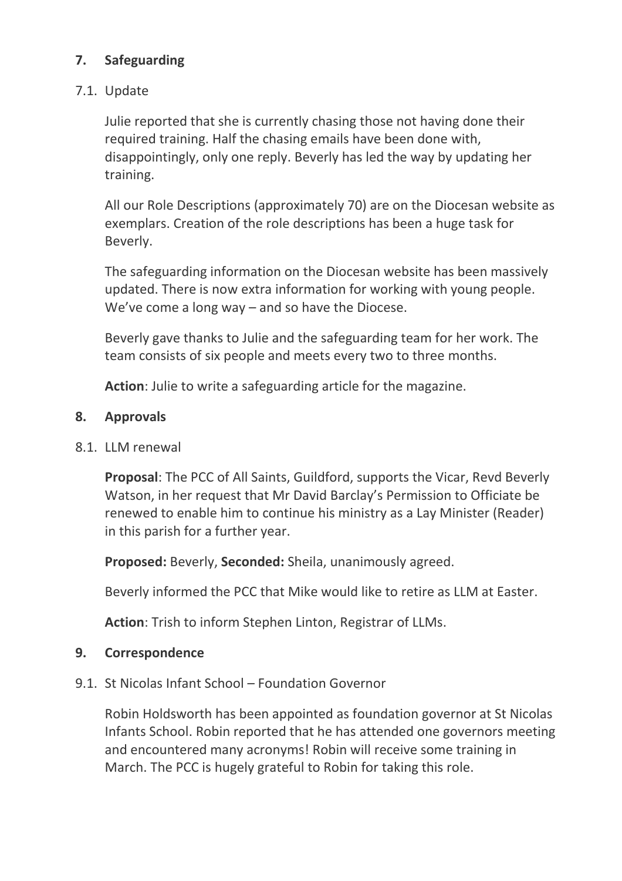# **7. Safeguarding**

### 7.1. Update

Julie reported that she is currently chasing those not having done their required training. Half the chasing emails have been done with, disappointingly, only one reply. Beverly has led the way by updating her training.

All our Role Descriptions (approximately 70) are on the Diocesan website as exemplars. Creation of the role descriptions has been a huge task for Beverly.

The safeguarding information on the Diocesan website has been massively updated. There is now extra information for working with young people. We've come a long way – and so have the Diocese.

Beverly gave thanks to Julie and the safeguarding team for her work. The team consists of six people and meets every two to three months.

**Action**: Julie to write a safeguarding article for the magazine.

#### **8. Approvals**

8.1. LLM renewal

**Proposal**: The PCC of All Saints, Guildford, supports the Vicar, Revd Beverly Watson, in her request that Mr David Barclay's Permission to Officiate be renewed to enable him to continue his ministry as a Lay Minister (Reader) in this parish for a further year.

**Proposed:** Beverly, **Seconded:** Sheila, unanimously agreed.

Beverly informed the PCC that Mike would like to retire as LLM at Easter.

**Action**: Trish to inform Stephen Linton, Registrar of LLMs.

#### **9. Correspondence**

9.1. St Nicolas Infant School – Foundation Governor

Robin Holdsworth has been appointed as foundation governor at St Nicolas Infants School. Robin reported that he has attended one governors meeting and encountered many acronyms! Robin will receive some training in March. The PCC is hugely grateful to Robin for taking this role.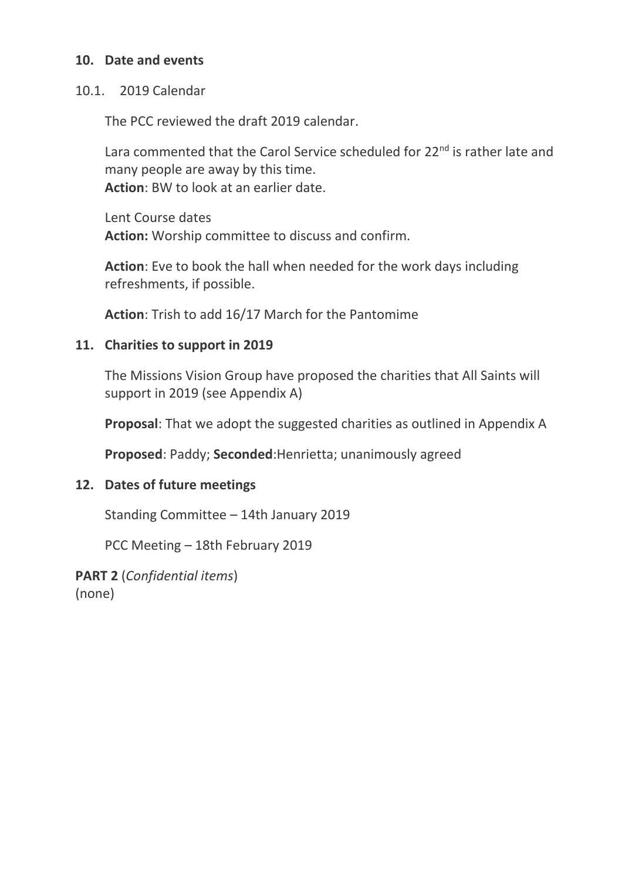#### **10. Date and events**

#### 10.1. 2019 Calendar

The PCC reviewed the draft 2019 calendar.

Lara commented that the Carol Service scheduled for 22<sup>nd</sup> is rather late and many people are away by this time. **Action**: BW to look at an earlier date.

Lent Course dates **Action:** Worship committee to discuss and confirm.

**Action**: Eve to book the hall when needed for the work days including refreshments, if possible.

**Action**: Trish to add 16/17 March for the Pantomime

#### **11. Charities to support in 2019**

The Missions Vision Group have proposed the charities that All Saints will support in 2019 (see Appendix A)

**Proposal**: That we adopt the suggested charities as outlined in Appendix A

**Proposed**: Paddy; **Seconded**:Henrietta; unanimously agreed

#### **12. Dates of future meetings**

Standing Committee – 14th January 2019

PCC Meeting – 18th February 2019

**PART 2** (*Confidential items*) (none)